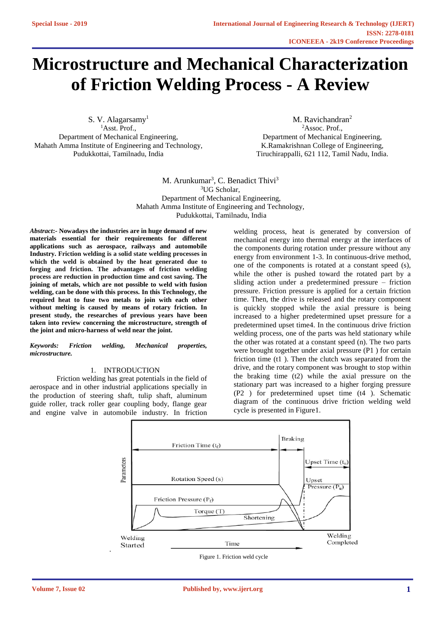# **Microstructure and Mechanical Characterization of Friction Welding Process - A Review**

S. V. Alagarsamy<sup>1</sup> <sup>1</sup>Asst. Prof.. Department of Mechanical Engineering, Mahath Amma Institute of Engineering and Technology, Pudukkottai, Tamilnadu, India

M. Ravichandran<sup>2</sup> <sup>2</sup>Assoc. Prof., Department of Mechanical Engineering, K.Ramakrishnan College of Engineering, Tiruchirappalli, 621 112, Tamil Nadu, India.

M. Arunkumar<sup>3</sup>, C. Benadict Thivi<sup>3</sup> <sup>3</sup>UG Scholar. Department of Mechanical Engineering, Mahath Amma Institute of Engineering and Technology, Pudukkottai, Tamilnadu, India

*Abstract***:- Nowadays the industries are in huge demand of new materials essential for their requirements for different applications such as aerospace, railways and automobile Industry. Friction welding is a solid state welding processes in which the weld is obtained by the heat generated due to forging and friction. The advantages of friction welding process are reduction in production time and cost saving. The joining of metals, which are not possible to weld with fusion welding, can be done with this process. In this Technology, the required heat to fuse two metals to join with each other without melting is caused by means of rotary friction. In present study, the researches of previous years have been taken into review concerning the microstructure, strength of the joint and micro-harness of weld near the joint.**

*Keywords: Friction welding, Mechanical properties, microstructure.*

### 1. INTRODUCTION

Friction welding has great potentials in the field of aerospace and in other industrial applications specially in the production of steering shaft, tulip shaft, aluminum guide roller, track roller gear coupling body, flange gear and engine valve in automobile industry. In friction

.

welding process, heat is generated by conversion of mechanical energy into thermal energy at the interfaces of the components during rotation under pressure without any energy from environment 1-3. In continuous-drive method, one of the components is rotated at a constant speed (s), while the other is pushed toward the rotated part by a sliding action under a predetermined pressure – friction pressure. Friction pressure is applied for a certain friction time. Then, the drive is released and the rotary component is quickly stopped while the axial pressure is being increased to a higher predetermined upset pressure for a predetermined upset time4. In the continuous drive friction welding process, one of the parts was held stationary while the other was rotated at a constant speed (n). The two parts were brought together under axial pressure (P1 ) for certain friction time (t1 ). Then the clutch was separated from the drive, and the rotary component was brought to stop within the braking time (t2) while the axial pressure on the stationary part was increased to a higher forging pressure (P2 ) for predetermined upset time (t4 ). Schematic diagram of the continuous drive friction welding weld cycle is presented in Figure1.



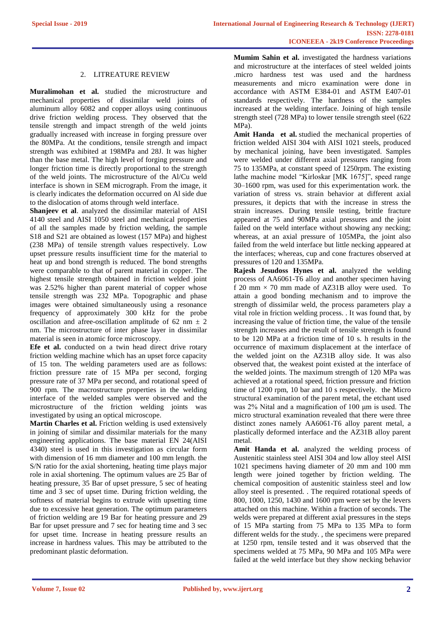## 2. LITREATURE REVIEW

**Muralimohan et al.** studied the microstructure and mechanical properties of dissimilar weld joints of aluminum alloy 6082 and copper alloys using continuous drive friction welding process. They observed that the tensile strength and impact strength of the weld joints gradually increased with increase in forging pressure over the 80MPa. At the conditions, tensile strength and impact strength was exhibited at 198MPa and 28J. It was higher than the base metal. The high level of forging pressure and longer friction time is directly proportional to the strength of the weld joints. The microstructure of the Al/Cu weld interface is shown in SEM micrograph. From the image, it is clearly indicates the deformation occurred on Al side due to the dislocation of atoms through weld interface.

**Shanjeev et al**. analyzed the dissimilar material of AISI 4140 steel and AISI 1050 steel and mechanical properties of all the samples made by friction welding, the sample S18 and S21 are obtained as lowest (157 MPa) and highest (238 MPa) of tensile strength values respectively. Low upset pressure results insufficient time for the material to heat up and bond strength is reduced. The bond strengths were comparable to that of parent material in copper. The highest tensile strength obtained in friction welded joint was 2.52% higher than parent material of copper whose tensile strength was 232 MPa. Topographic and phase images were obtained simultaneously using a resonance frequency of approximately 300 kHz for the probe oscillation and afree-oscillation amplitude of 62 nm  $\pm$  2 nm. The microstructure of inter phase layer in dissimilar material is seen in atomic force microscopy.

**Efe et al.** conducted on a twin head direct drive rotary friction welding machine which has an upset force capacity of 15 ton. The welding parameters used are as follows: friction pressure rate of 15 MPa per second, forging pressure rate of 37 MPa per second, and rotational speed of 900 rpm. The macrostructure properties in the welding interface of the welded samples were observed and the microstructure of the friction welding joints was investigated by using an optical microscope.

**Martin Charles et al.** Friction welding is used extensively in joining of similar and dissimilar materials for the many engineering applications. The base material EN 24(AISI 4340) steel is used in this investigation as circular form with dimension of 16 mm diameter and 100 mm length. the S/N ratio for the axial shortening, heating time plays major role in axial shortening. The optimum values are 25 Bar of heating pressure, 35 Bar of upset pressure, 5 sec of heating time and 3 sec of upset time. During friction welding, the softness of material begins to extrude with upsetting time due to excessive heat generation. The optimum parameters of friction welding are 19 Bar for heating pressure and 29 Bar for upset pressure and 7 sec for heating time and 3 sec for upset time. Increase in heating pressure results an increase in hardness values. This may be attributed to the predominant plastic deformation.

**Mumim Sahin et al.** investigated the hardness variations and microstructure at the interfaces of steel welded joints .micro hardness test was used and the hardness measurements and micro examination were done in accordance with ASTM E384-01 and ASTM E407-01 standards respectively. The hardness of the samples increased at the welding interface. Joining of high tensile strength steel (728 MPa) to lower tensile strength steel (622 MPa).

Amit Handa et al. studied the mechanical properties of friction welded AISI 304 with AISI 1021 steels, produced by mechanical joining, have been investigated. Samples were welded under different axial pressures ranging from 75 to 135MPa, at constant speed of 1250rpm. The existing lathe machine model "Kirloskar [MK 1675]", speed range 30–1600 rpm, was used for this experimentation work. the variation of stress vs. strain behavior at different axial pressures, it depicts that with the increase in stress the strain increases. During tensile testing, brittle fracture appeared at 75 and 90MPa axial pressures and the joint failed on the weld interface without showing any necking; whereas, at an axial pressure of 105MPa, the joint also failed from the weld interface but little necking appeared at the interfaces; whereas, cup and cone fractures observed at pressures of 120 and 135MPa.

**Rajesh Jesudoss Hynes et al.** analyzed the welding process of AA6061-T6 alloy and another specimen having f 20 mm  $\times$  70 mm made of AZ31B alloy were used. To attain a good bonding mechanism and to improve the strength of dissimilar weld, the process parameters play a vital role in friction welding process. . It was found that, by increasing the value of friction time, the value of the tensile strength increases and the result of tensile strength is found to be 120 MPa at a friction time of 10 s. h results in the occurrence of maximum displacement at the interface of the welded joint on the AZ31B alloy side. It was also observed that, the weakest point existed at the interface of the welded joints. The maximum strength of 120 MPa was achieved at a rotational speed, friction pressure and friction time of 1200 rpm, 10 bar and 10 s respectively. the Micro structural examination of the parent metal, the etchant used was 2% Nital and a magnification of 100 μm is used. The micro structural examination revealed that there were three distinct zones namely AA6061-T6 alloy parent metal, a plastically deformed interface and the AZ31B alloy parent metal.

**Amit Handa et al.** analyzed the welding process of Austenitic stainless steel AISI 304 and low alloy steel AISI 1021 specimens having diameter of 20 mm and 100 mm length were joined together by friction welding. The chemical composition of austenitic stainless steel and low alloy steel is presented. . The required rotational speeds of 800, 1000, 1250, 1430 and 1600 rpm were set by the levers attached on this machine. Within a fraction of seconds. The welds were prepared at different axial pressures in the steps of 15 MPa starting from 75 MPa to 135 MPa to form different welds for the study. , the specimens were prepared at 1250 rpm, tensile tested and it was observed that the specimens welded at 75 MPa, 90 MPa and 105 MPa were failed at the weld interface but they show necking behavior